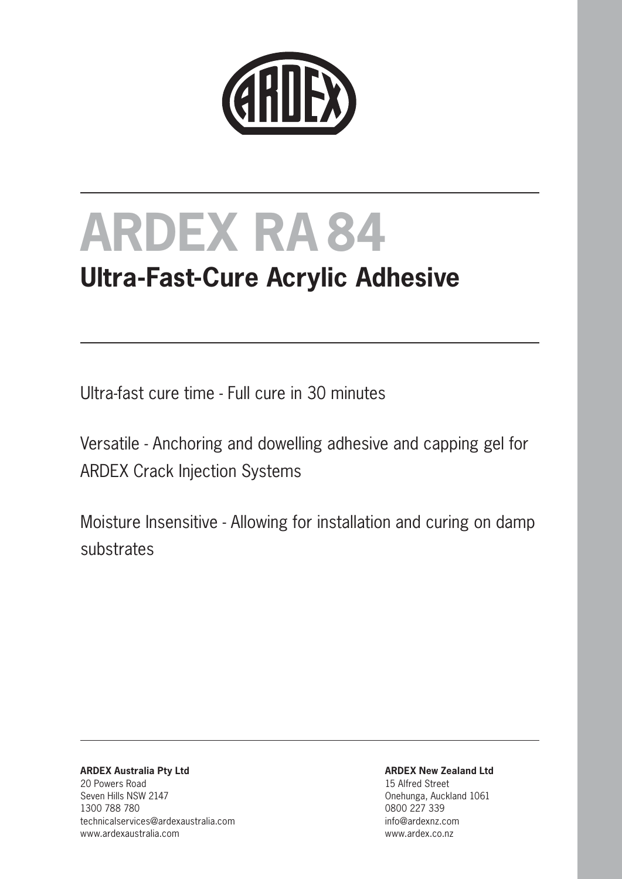

## **Ultra-Fast-Cure Acrylic Adhesive**

Ultra-fast cure time - Full cure in 30 minutes

Versatile - Anchoring and dowelling adhesive and capping gel for ARDEX Crack Injection Systems

Moisture Insensitive - Allowing for installation and curing on damp substrates

**ARDEX Australia Pty Ltd** 20 Powers Road Seven Hills NSW 2147 1300 788 780 technicalservices@ardexaustralia.com www.ardexaustralia.com

**ARDEX New Zealand Ltd**

15 Alfred Street Onehunga, Auckland 1061 0800 227 339 info@ardexnz.com www.ardex.co.nz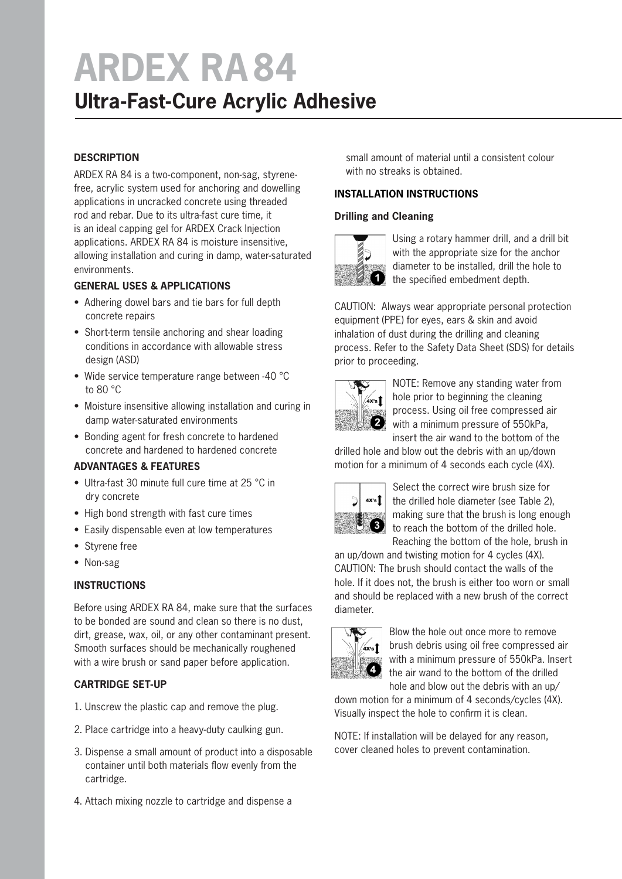### **Ultra-Fast-Cure Acrylic Adhesive**

#### **DESCRIPTION**

ARDEX RA 84 is a two-component, non-sag, styrenefree, acrylic system used for anchoring and dowelling applications in uncracked concrete using threaded rod and rebar. Due to its ultra-fast cure time, it is an ideal capping gel for ARDEX Crack Injection applications. ARDEX RA 84 is moisture insensitive, allowing installation and curing in damp, water-saturated environments.

#### **GENERAL USES & APPLICATIONS**

- Adhering dowel bars and tie bars for full depth concrete repairs
- Short-term tensile anchoring and shear loading conditions in accordance with allowable stress design (ASD)
- Wide service temperature range between -40 °C to 80 °C
- Moisture insensitive allowing installation and curing in damp water-saturated environments
- Bonding agent for fresh concrete to hardened concrete and hardened to hardened concrete

#### **ADVANTAGES & FEATURES**

- Ultra-fast 30 minute full cure time at 25 °C in dry concrete
- High bond strength with fast cure times
- Easily dispensable even at low temperatures
- Styrene free
- Non-sag

#### **INSTRUCTIONS**

Before using ARDEX RA 84, make sure that the surfaces to be bonded are sound and clean so there is no dust, dirt, grease, wax, oil, or any other contaminant present. Smooth surfaces should be mechanically roughened with a wire brush or sand paper before application.

#### **CARTRIDGE SET-UP**

- 1. Unscrew the plastic cap and remove the plug.
- 2. Place cartridge into a heavy-duty caulking gun.
- 3. Dispense a small amount of product into a disposable container until both materials flow evenly from the cartridge.
- 4. Attach mixing nozzle to cartridge and dispense a

 small amount of material until a consistent colour with no streaks is obtained.

#### **INSTALLATION INSTRUCTIONS**

#### **Drilling and Cleaning**



Using a rotary hammer drill, and a drill bit with the appropriate size for the anchor diameter to be installed, drill the hole to the specified embedment depth.

CAUTION: Always wear appropriate personal protection equipment (PPE) for eyes, ears & skin and avoid inhalation of dust during the drilling and cleaning process. Refer to the Safety Data Sheet (SDS) for details prior to proceeding.



NOTE: Remove any standing water from hole prior to beginning the cleaning process. Using oil free compressed air **2** with a minimum pressure of 550kPa, insert the air wand to the bottom of the

drilled hole and blow out the debris with an up/down motion for a minimum of 4 seconds each cycle (4X).



Select the correct wire brush size for the drilled hole diameter (see Table 2), making sure that the brush is long enough to reach the bottom of the drilled hole. Reaching the bottom of the hole, brush in

an up/down and twisting motion for 4 cycles (4X). CAUTION: The brush should contact the walls of the hole. If it does not, the brush is either too worn or small and should be replaced with a new brush of the correct diameter.



Blow the hole out once more to remove brush debris using oil free compressed air with a minimum pressure of 550kPa. Insert the air wand to the bottom of the drilled hole and blow out the debris with an up/

down motion for a minimum of 4 seconds/cycles (4X). Visually inspect the hole to confirm it is clean.

NOTE: If installation will be delayed for any reason, cover cleaned holes to prevent contamination.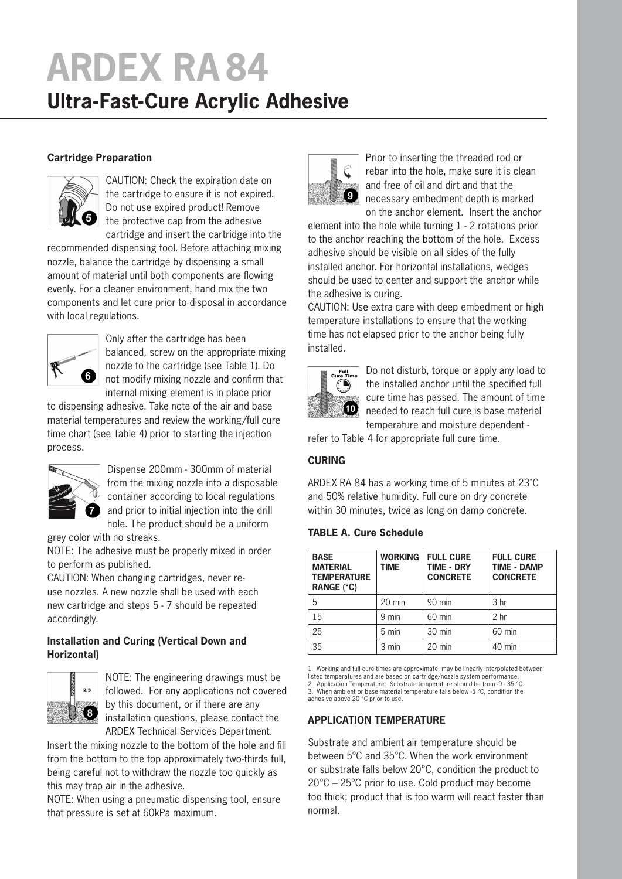### **Ultra-Fast-Cure Acrylic Adhesive**

#### **Cartridge Preparation**



CAUTION: Check the expiration date on the cartridge to ensure it is not expired. Do not use expired product! Remove the protective cap from the adhesive cartridge and insert the cartridge into the

recommended dispensing tool. Before attaching mixing nozzle, balance the cartridge by dispensing a small amount of material until both components are flowing evenly. For a cleaner environment, hand mix the two components and let cure prior to disposal in accordance with local regulations.



Only after the cartridge has been balanced, screw on the appropriate mixing nozzle to the cartridge (see Table 1). Do not modify mixing nozzle and confirm that internal mixing element is in place prior

to dispensing adhesive. Take note of the air and base material temperatures and review the working/full cure time chart (see Table 4) prior to starting the injection process.



Dispense 200mm - 300mm of material from the mixing nozzle into a disposable container according to local regulations and prior to initial injection into the drill hole. The product should be a uniform

grey color with no streaks.

NOTE: The adhesive must be properly mixed in order to perform as published.

CAUTION: When changing cartridges, never reuse nozzles. A new nozzle shall be used with each new cartridge and steps 5 - 7 should be repeated accordingly.

#### **Installation and Curing (Vertical Down and Horizontal)**



NOTE: The engineering drawings must be followed. For any applications not covered by this document, or if there are any installation questions, please contact the ARDEX Technical Services Department.

Insert the mixing nozzle to the bottom of the hole and fill from the bottom to the top approximately two-thirds full, being careful not to withdraw the nozzle too quickly as this may trap air in the adhesive.

NOTE: When using a pneumatic dispensing tool, ensure that pressure is set at 60kPa maximum.



Prior to inserting the threaded rod or rebar into the hole, make sure it is clean and free of oil and dirt and that the necessary embedment depth is marked on the anchor element. Insert the anchor

element into the hole while turning 1 - 2 rotations prior to the anchor reaching the bottom of the hole. Excess adhesive should be visible on all sides of the fully installed anchor. For horizontal installations, wedges should be used to center and support the anchor while the adhesive is curing.

CAUTION: Use extra care with deep embedment or high temperature installations to ensure that the working time has not elapsed prior to the anchor being fully installed.



Do not disturb, torque or apply any load to the installed anchor until the specified full cure time has passed. The amount of time needed to reach full cure is base material temperature and moisture dependent -

refer to Table 4 for appropriate full cure time.

#### **CURING**

ARDEX RA 84 has a working time of 5 minutes at 23˚C and 50% relative humidity. Full cure on dry concrete within 30 minutes, twice as long on damp concrete.

#### **TABLE A. Cure Schedule**

| <b>BASE</b><br><b>MATERIAL</b><br><b>TEMPERATURE</b><br><b>RANGE (°C)</b> | <b>WORKING</b><br><b>TIME</b> | <b>FULL CURE</b><br><b>TIME - DRY</b><br><b>CONCRETE</b> | <b>FULL CURE</b><br><b>TIME - DAMP</b><br><b>CONCRETE</b> |
|---------------------------------------------------------------------------|-------------------------------|----------------------------------------------------------|-----------------------------------------------------------|
| 5                                                                         | $20 \text{ min}$              | $90$ min                                                 | 3 <sub>hr</sub>                                           |
| 15                                                                        | 9 min                         | $60$ min                                                 | 2 <sub>hr</sub>                                           |
| 25                                                                        | $5 \text{ min}$               | $30 \text{ min}$                                         | 60 min                                                    |
| 35                                                                        | 3 min                         | $20 \text{ min}$                                         | $40$ min                                                  |

1. Working and full cure times are approximate, may be linearly interpolated between

listed temperatures and are based on cartridge/nozzle system performance.<br>2. Application Temperature: Substrate temperature should be from -9 - 35 °C.<br>3. When ambient or base material temperature falls below -5 °C, cond

adhesive above 20 °C prior to use.

#### **APPLICATION TEMPERATURE**

Substrate and ambient air temperature should be between 5°C and 35°C. When the work environment or substrate falls below 20°C, condition the product to 20°C – 25°C prior to use. Cold product may become too thick; product that is too warm will react faster than normal.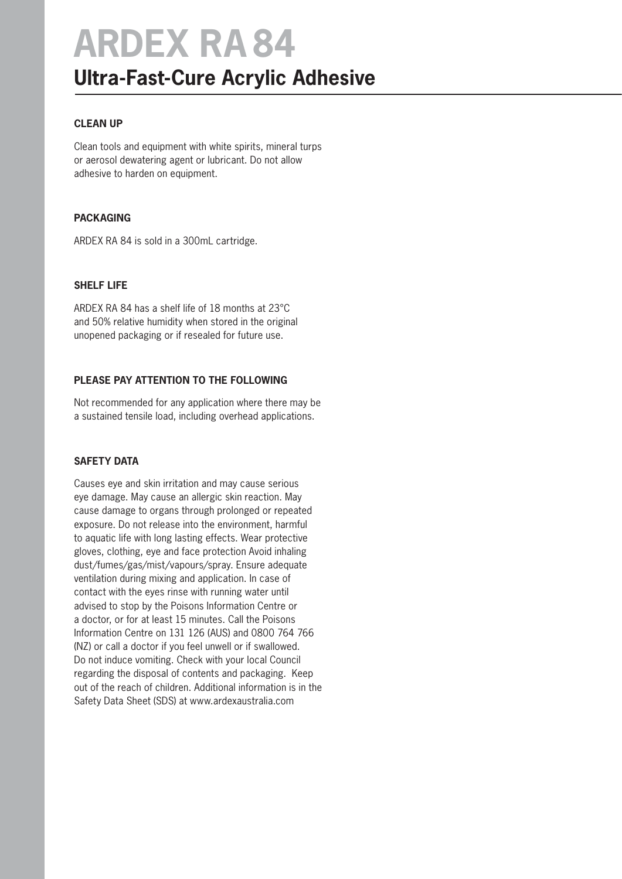## **ARDEX RA84 Ultra-Fast-Cure Acrylic Adhesive**

#### **CLEAN UP**

Clean tools and equipment with white spirits, mineral turps or aerosol dewatering agent or lubricant. Do not allow adhesive to harden on equipment.

#### **PACKAGING**

ARDEX RA 84 is sold in a 300mL cartridge.

#### **SHELF LIFE**

ARDEX RA 84 has a shelf life of 18 months at 23°C and 50% relative humidity when stored in the original unopened packaging or if resealed for future use.

#### **PLEASE PAY ATTENTION TO THE FOLLOWING**

Not recommended for any application where there may be a sustained tensile load, including overhead applications.

#### **SAFETY DATA**

Causes eye and skin irritation and may cause serious eye damage. May cause an allergic skin reaction. May cause damage to organs through prolonged or repeated exposure. Do not release into the environment, harmful to aquatic life with long lasting effects. Wear protective gloves, clothing, eye and face protection Avoid inhaling dust/fumes/gas/mist/vapours/spray. Ensure adequate ventilation during mixing and application. In case of contact with the eyes rinse with running water until advised to stop by the Poisons Information Centre or a doctor, or for at least 15 minutes. Call the Poisons Information Centre on 131 126 (AUS) and 0800 764 766 (NZ) or call a doctor if you feel unwell or if swallowed. Do not induce vomiting. Check with your local Council regarding the disposal of contents and packaging. Keep out of the reach of children. Additional information is in the Safety Data Sheet (SDS) at www.ardexaustralia.com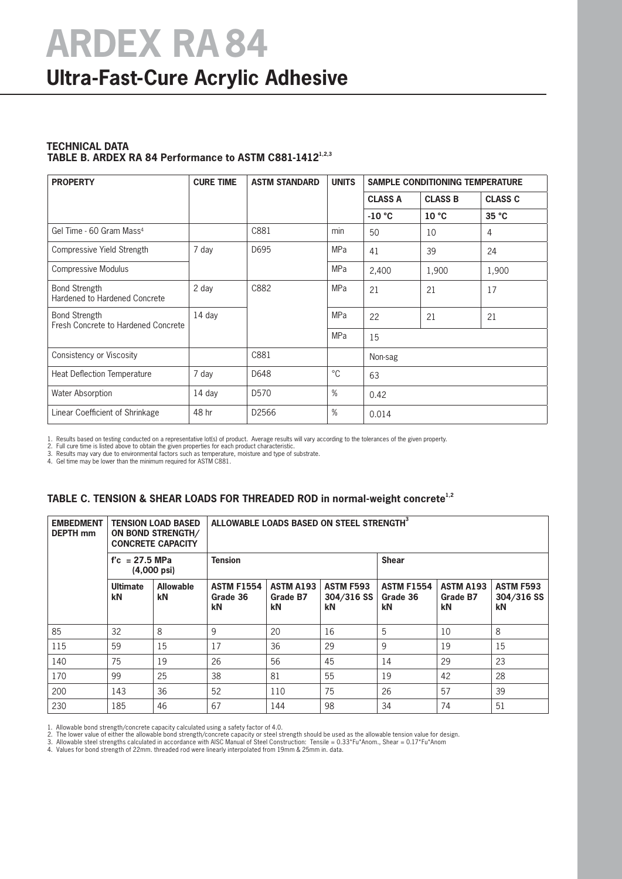### **Ultra-Fast-Cure Acrylic Adhesive**

#### **TECHNICAL DATA** TABLE B. ARDEX RA 84 Performance to ASTM C881-1412<sup>1,2,3</sup>

| <b>PROPERTY</b>                                             | <b>CURE TIME</b> | <b>ASTM STANDARD</b> | <b>UNITS</b> | <b>SAMPLE CONDITIONING TEMPERATURE</b> |                   |                |  |
|-------------------------------------------------------------|------------------|----------------------|--------------|----------------------------------------|-------------------|----------------|--|
|                                                             |                  |                      |              | <b>CLASS A</b>                         | <b>CLASS B</b>    | <b>CLASS C</b> |  |
|                                                             |                  |                      |              | $-10 °C$                               | 10 <sup>°</sup> C | 35 °C          |  |
| Gel Time - 60 Gram Mass <sup>4</sup>                        |                  | C881                 | min          | 50                                     | 10                | 4              |  |
| Compressive Yield Strength                                  | 7 day            | D695                 | <b>MPa</b>   | 41                                     | 39                | 24             |  |
| <b>Compressive Modulus</b>                                  |                  |                      | <b>MPa</b>   | 2,400                                  | 1,900             | 1,900          |  |
| <b>Bond Strength</b><br>Hardened to Hardened Concrete       | 2 day            | C882                 | <b>MPa</b>   | 21                                     | 21                | 17             |  |
| <b>Bond Strength</b><br>Fresh Concrete to Hardened Concrete | 14 day           |                      | <b>MPa</b>   | 22                                     | 21                | 21             |  |
|                                                             |                  |                      | <b>MPa</b>   | 15                                     |                   |                |  |
| Consistency or Viscosity                                    |                  | C881                 |              | Non-sag                                |                   |                |  |
| Heat Deflection Temperature                                 | 7 day            | D648                 | $^{\circ}C$  | 63                                     |                   |                |  |
| <b>Water Absorption</b>                                     | 14 day           | D <sub>570</sub>     | %            | 0.42                                   |                   |                |  |
| Linear Coefficient of Shrinkage                             | 48 hr            | D2566                | $\%$         | 0.014                                  |                   |                |  |

**TABLE C. TENSION & SHEAR LOADS FOR THREADED ROD in normal-weight concrete1,2**

1. Results based on testing conducted on a representative lot(s) of product. Average results will vary according to the tolerances of the given property.<br>2. Full cure time is listed above to obtain the given properties for

4. Gel time may be lower than the minimum required for ASTM C881.

| <b>EMBEDMENT</b><br><b>DEPTH</b> mm |                       | <b>TENSION LOAD BASED</b><br>ON BOND STRENGTH/<br><b>CONCRETE CAPACITY</b> |                                     |                                    | ALLOWABLE LOADS BASED ON STEEL STRENGTH <sup>3</sup> |                                     |                                    |                                      |  |  |
|-------------------------------------|-----------------------|----------------------------------------------------------------------------|-------------------------------------|------------------------------------|------------------------------------------------------|-------------------------------------|------------------------------------|--------------------------------------|--|--|
|                                     | $fc = 27.5 MPa$       | $(4,000 \text{ psi})$                                                      | <b>Tension</b>                      |                                    | <b>Shear</b>                                         |                                     |                                    |                                      |  |  |
|                                     | <b>Ultimate</b><br>kN | <b>Allowable</b><br>kN                                                     | <b>ASTM F1554</b><br>Grade 36<br>kN | <b>ASTM A193</b><br>Grade B7<br>kN | <b>ASTM F593</b><br>304/316 SS<br>kN                 | <b>ASTM F1554</b><br>Grade 36<br>kN | <b>ASTM A193</b><br>Grade B7<br>kN | <b>ASTM F593</b><br>304/316 SS<br>kN |  |  |
| 85                                  | 32                    | 8                                                                          | 9                                   | 20                                 | 16                                                   | 5                                   | 10                                 | 8                                    |  |  |
| 115                                 | 59                    | 15                                                                         | 17                                  | 36                                 | 29                                                   | 9                                   | 19                                 | 15                                   |  |  |
| 140                                 | 75                    | 19                                                                         | 26                                  | 56                                 | 45                                                   | 14                                  | 29                                 | 23                                   |  |  |
| 170                                 | 99                    | 25                                                                         | 38                                  | 81                                 | 55                                                   | 19                                  | 42                                 | 28                                   |  |  |
| 200                                 | 143                   | 36                                                                         | 52                                  | 110                                | 75                                                   | 26                                  | 57                                 | 39                                   |  |  |
| 230                                 | 185                   | 46                                                                         | 67                                  | 144                                | 98                                                   | 34                                  | 74                                 | 51                                   |  |  |

1. Allowable bond strength/concrete capacity calculated using a safety factor of 4.0.

2. The lower value of either the allowable bond strength/concrete capacity or steel strength should be used as the allowable tension value for design.<br>3. Allowable steel strengths calculated in accordance with AISC Manual

4. Values for bond strength of 22mm. threaded rod were linearly interpolated from 19mm & 25mm in. data.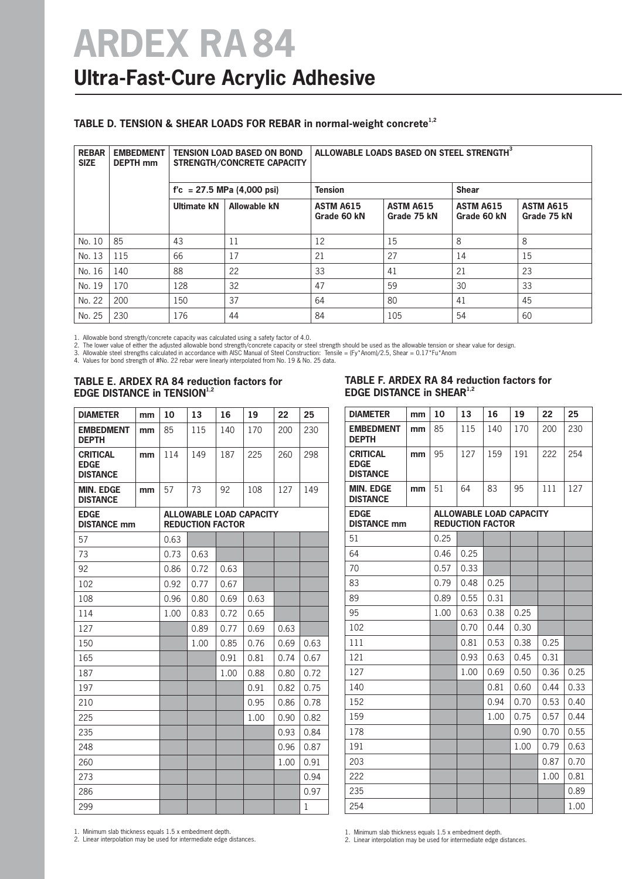#### **TABLE D. TENSION & SHEAR LOADS FOR REBAR in normal-weight concrete1,2**

| <b>REBAR</b><br><b>SIZE</b> | <b>EMBEDMENT</b><br><b>DEPTH</b> mm | <b>TENSION LOAD BASED ON BOND</b><br><b>STRENGTH/CONCRETE CAPACITY</b> |                     | ALLOWABLE LOADS BASED ON STEEL STRENGTH <sup>3</sup>        |     |                                 |                                 |  |  |
|-----------------------------|-------------------------------------|------------------------------------------------------------------------|---------------------|-------------------------------------------------------------|-----|---------------------------------|---------------------------------|--|--|
|                             |                                     | $f'c = 27.5$ MPa (4,000 psi)                                           |                     | <b>Tension</b>                                              |     | <b>Shear</b>                    |                                 |  |  |
|                             |                                     | Ultimate kN                                                            | <b>Allowable kN</b> | <b>ASTM A615</b><br>ASTM A615<br>Grade 60 kN<br>Grade 75 kN |     | <b>ASTM A615</b><br>Grade 60 kN | <b>ASTM A615</b><br>Grade 75 kN |  |  |
| No. 10                      | 85                                  | 43                                                                     | 11                  | 12                                                          | 15  | 8                               | 8                               |  |  |
| No. 13                      | 115                                 | 66                                                                     | 17                  | 21                                                          | 27  | 14                              | 15                              |  |  |
| No. 16                      | 140                                 | 88                                                                     | 22                  | 33                                                          | 41  | 21                              | 23                              |  |  |
| No. 19                      | 170                                 | 128                                                                    | 32                  | 47                                                          | 59  | 30                              | 33                              |  |  |
| No. 22                      | 200                                 | 150                                                                    | 37                  | 64                                                          | 80  | 41                              | 45                              |  |  |
| No. 25                      | 230                                 | 176                                                                    | 44                  | 84                                                          | 105 | 54                              | 60                              |  |  |

1. Allowable bond strength/concrete capacity was calculated using a safety factor of 4.0.<br>2. The lower value of either the adjusted allowable bond strength/concrete capacity or steel strength should be used as the allowabl

#### **TABLE E. ARDEX RA 84 reduction factors for EDGE DISTANCE in TENSION1,2**

#### **TABLE F. ARDEX RA 84 reduction factors for EDGE DISTANCE in SHEAR<sup>1,2</sup>**

| <b>DIAMETER</b>                                   | mm | 10   | 13                                                        | 16   | 19   | 22   | 25   |  |  |  |
|---------------------------------------------------|----|------|-----------------------------------------------------------|------|------|------|------|--|--|--|
| <b>EMBEDMENT</b><br><b>DEPTH</b>                  | mm | 85   | 115                                                       | 140  | 170  | 200  | 230  |  |  |  |
| <b>CRITICAL</b><br><b>EDGE</b><br><b>DISTANCE</b> | mm | 114  | 149                                                       | 187  | 225  | 260  | 298  |  |  |  |
| <b>MIN. EDGE</b><br><b>DISTANCE</b>               | mm | 57   | 73                                                        | 92   | 108  | 127  | 149  |  |  |  |
| <b>EDGE</b><br><b>DISTANCE mm</b>                 |    |      | <b>ALLOWABLE LOAD CAPACITY</b><br><b>REDUCTION FACTOR</b> |      |      |      |      |  |  |  |
| 57                                                |    | 0.63 |                                                           |      |      |      |      |  |  |  |
| 73                                                |    | 0.73 | 0.63                                                      |      |      |      |      |  |  |  |
| 92                                                |    | 0.86 | 0.72                                                      | 0.63 |      |      |      |  |  |  |
| 102                                               |    | 0.92 | 0.77                                                      | 0.67 |      |      |      |  |  |  |
| 108                                               |    | 0.96 | 0.80                                                      | 0.69 | 0.63 |      |      |  |  |  |
| 114                                               |    | 1.00 | 0.83                                                      | 0.72 | 0.65 |      |      |  |  |  |
| 127                                               |    |      | 0.89                                                      | 0.77 | 0.69 | 0.63 |      |  |  |  |
| 150                                               |    |      | 1.00                                                      | 0.85 | 0.76 | 0.69 | 0.63 |  |  |  |
| 165                                               |    |      |                                                           | 0.91 | 0.81 | 0.74 | 0.67 |  |  |  |
| 187                                               |    |      |                                                           | 1.00 | 0.88 | 0.80 | 0.72 |  |  |  |
| 197                                               |    |      |                                                           |      | 0.91 | 0.82 | 0.75 |  |  |  |
| 210                                               |    |      |                                                           |      | 0.95 | 0.86 | 0.78 |  |  |  |
| 225                                               |    |      |                                                           |      | 1.00 | 0.90 | 0.82 |  |  |  |
| 235                                               |    |      |                                                           |      |      | 0.93 | 0.84 |  |  |  |
| 248                                               |    |      |                                                           |      |      | 0.96 | 0.87 |  |  |  |
| 260                                               |    |      |                                                           |      |      | 1.00 | 0.91 |  |  |  |
| 273                                               |    |      |                                                           |      |      |      | 0.94 |  |  |  |
| 286                                               |    |      |                                                           |      |      |      | 0.97 |  |  |  |
| 299                                               |    |      |                                                           |      |      |      | 1    |  |  |  |

| <b>DIAMETER</b>                                   | mm | 10   | 13                      | 16   | 19                             | 22   | 25   |
|---------------------------------------------------|----|------|-------------------------|------|--------------------------------|------|------|
| <b>EMBEDMENT</b><br><b>DEPTH</b>                  | mm | 85   | 115                     | 140  | 170                            | 200  | 230  |
| <b>CRITICAL</b><br><b>EDGE</b><br><b>DISTANCE</b> | mm | 95   | 127                     | 159  | 191                            | 222  | 254  |
| <b>MIN. EDGE</b><br><b>DISTANCE</b>               | mm | 51   | 64                      | 83   | 95                             | 111  | 127  |
| <b>EDGE</b><br><b>DISTANCE mm</b>                 |    |      | <b>REDUCTION FACTOR</b> |      | <b>ALLOWABLE LOAD CAPACITY</b> |      |      |
| 51                                                |    | 0.25 |                         |      |                                |      |      |
| 64                                                |    | 0.46 | 0.25                    |      |                                |      |      |
| 70                                                |    | 0.57 | 0.33                    |      |                                |      |      |
| 83                                                |    | 0.79 | 0.48                    | 0.25 |                                |      |      |
| 89                                                |    | 0.89 | 0.55                    | 0.31 |                                |      |      |
| 95                                                |    | 1.00 | 0.63                    | 0.38 | 0.25                           |      |      |
| 102                                               |    |      | 0.70                    | 0.44 | 0.30                           |      |      |
| 111                                               |    |      | 0.81                    | 0.53 | 0.38                           | 0.25 |      |
| 121                                               |    |      | 0.93                    | 0.63 | 0.45                           | 0.31 |      |
| 127                                               |    |      | 1.00                    | 0.69 | 0.50                           | 0.36 | 0.25 |
| 140                                               |    |      |                         | 0.81 | 0.60                           | 0.44 | 0.33 |
| 152                                               |    |      |                         | 0.94 | 0.70                           | 0.53 | 0.40 |
| 159                                               |    |      |                         | 1.00 | 0.75                           | 0.57 | 0.44 |
| 178                                               |    |      |                         |      | 0.90                           | 0.70 | 0.55 |
| 191                                               |    |      |                         |      | 1.00                           | 0.79 | 0.63 |
| 203                                               |    |      |                         |      |                                | 0.87 | 0.70 |
| 222                                               |    |      |                         |      |                                | 1.00 | 0.81 |
| 235                                               |    |      |                         |      |                                |      | 0.89 |
| 254                                               |    |      |                         |      |                                |      | 1.00 |

1. Minimum slab thickness equals 1.5 x embedment depth. 2. Linear interpolation may be used for intermediate edge distances.

1. Minimum slab thickness equals 1.5 x embedment depth.

2. Linear interpolation may be used for intermediate edge distances.